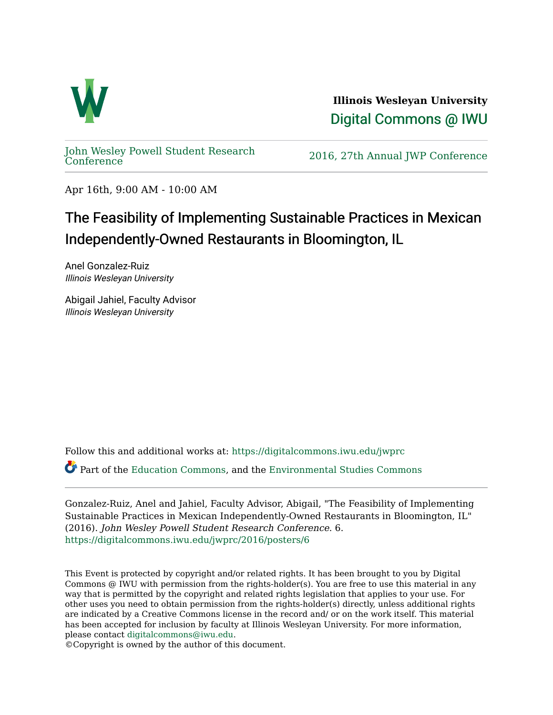

**Illinois Wesleyan University**  [Digital Commons @ IWU](https://digitalcommons.iwu.edu/) 

[John Wesley Powell Student Research](https://digitalcommons.iwu.edu/jwprc) 

2016, 27th Annual JWP [Conference](https://digitalcommons.iwu.edu/jwprc)

Apr 16th, 9:00 AM - 10:00 AM

## The Feasibility of Implementing Sustainable Practices in Mexican Independently-Owned Restaurants in Bloomington, IL

Anel Gonzalez-Ruiz Illinois Wesleyan University

Abigail Jahiel, Faculty Advisor Illinois Wesleyan University

Follow this and additional works at: [https://digitalcommons.iwu.edu/jwprc](https://digitalcommons.iwu.edu/jwprc?utm_source=digitalcommons.iwu.edu%2Fjwprc%2F2016%2Fposters%2F6&utm_medium=PDF&utm_campaign=PDFCoverPages) 

Part of the [Education Commons](http://network.bepress.com/hgg/discipline/784?utm_source=digitalcommons.iwu.edu%2Fjwprc%2F2016%2Fposters%2F6&utm_medium=PDF&utm_campaign=PDFCoverPages), and the [Environmental Studies Commons](http://network.bepress.com/hgg/discipline/1333?utm_source=digitalcommons.iwu.edu%2Fjwprc%2F2016%2Fposters%2F6&utm_medium=PDF&utm_campaign=PDFCoverPages)

Gonzalez-Ruiz, Anel and Jahiel, Faculty Advisor, Abigail, "The Feasibility of Implementing Sustainable Practices in Mexican Independently-Owned Restaurants in Bloomington, IL" (2016). John Wesley Powell Student Research Conference. 6. [https://digitalcommons.iwu.edu/jwprc/2016/posters/6](https://digitalcommons.iwu.edu/jwprc/2016/posters/6?utm_source=digitalcommons.iwu.edu%2Fjwprc%2F2016%2Fposters%2F6&utm_medium=PDF&utm_campaign=PDFCoverPages) 

This Event is protected by copyright and/or related rights. It has been brought to you by Digital Commons @ IWU with permission from the rights-holder(s). You are free to use this material in any way that is permitted by the copyright and related rights legislation that applies to your use. For other uses you need to obtain permission from the rights-holder(s) directly, unless additional rights are indicated by a Creative Commons license in the record and/ or on the work itself. This material has been accepted for inclusion by faculty at Illinois Wesleyan University. For more information, please contact [digitalcommons@iwu.edu.](mailto:digitalcommons@iwu.edu)

©Copyright is owned by the author of this document.